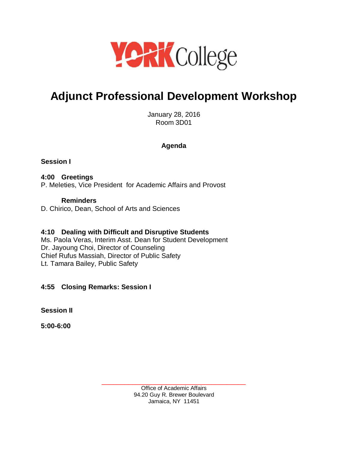

# **Adjunct Professional Development Workshop**

January 28, 2016 Room 3D01

### **Agenda**

## **Session I**

#### **4:00 Greetings** P. Meleties, Vice President for Academic Affairs and Provost

#### **Reminders** D. Chirico, Dean, School of Arts and Sciences

# **4:10 Dealing with Difficult and Disruptive Students**

Ms. Paola Veras, Interim Asst. Dean for Student Development Dr. Jayoung Choi, Director of Counseling Chief Rufus Massiah, Director of Public Safety Lt. Tamara Bailey, Public Safety

# **4:55 Closing Remarks: Session I**

**Session II**

**5:00-6:00**

\_\_\_\_\_\_\_\_\_\_\_\_\_\_\_\_\_\_\_\_\_\_\_\_\_\_\_\_\_\_\_\_\_\_\_\_\_\_ Office of Academic Affairs 94.20 Guy R. Brewer Boulevard Jamaica, NY 11451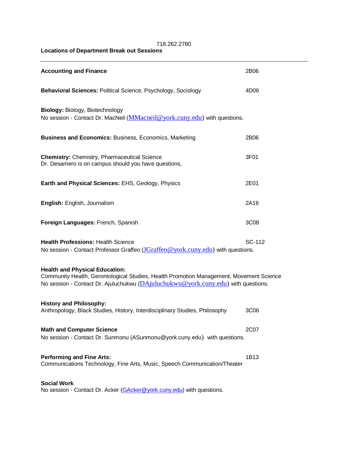718.262.2780 **Locations of Department Break out Sessions**

| <b>Accounting and Finance</b>                                                                                                                                                                                         | 2B06             |
|-----------------------------------------------------------------------------------------------------------------------------------------------------------------------------------------------------------------------|------------------|
| Behavioral Sciences: Political Science, Psychology, Sociology                                                                                                                                                         | 4D06             |
| Biology: Biology, Biotechnology<br>No session - Contact Dr. MacNeil ( <i>MMacneil@york.cuny.edu</i> ) with questions.                                                                                                 |                  |
| <b>Business and Economics: Business, Economics, Marketing</b>                                                                                                                                                         | 2B06             |
| <b>Chemistry: Chemistry, Pharmaceutical Science</b><br>Dr. Desamero is on campus should you have questions,                                                                                                           | 3F01             |
| Earth and Physical Sciences: EHS, Geology, Physics                                                                                                                                                                    | 2E01             |
| English: English, Journalism                                                                                                                                                                                          | 2A16             |
| Foreign Languages: French, Spanish                                                                                                                                                                                    | 3C08             |
| <b>Health Professions: Health Science</b><br>No session - Contact Professor Graffeo (JGraffeo @york.cuny.edu) with questions.                                                                                         | SC-112           |
| <b>Health and Physical Education:</b><br>Community Health, Gerontological Studies, Health Promotion Management, Movement Science<br>No session - Contact Dr. Ajuluchukwu (DAjuluchukwu@york.cuny.edu) with questions. |                  |
| <b>History and Philosophy:</b><br>Anthropology, Black Studies, History, Interdisciplinary Studies, Philosophy                                                                                                         | 3C <sub>06</sub> |
| <b>Math and Computer Science</b><br>No session - Contact Dr. Sunmonu (ASunmonu@york.cuny.edu) with questions.                                                                                                         | 2C07             |
| <b>Performing and Fine Arts:</b><br>Communications Technology, Fine Arts, Music, Speech Communication/Theater                                                                                                         | 1B13             |
| <b>Social Work</b><br>No session - Contact Dr. Acker (GAcker@york.cuny.edu) with questions.                                                                                                                           |                  |